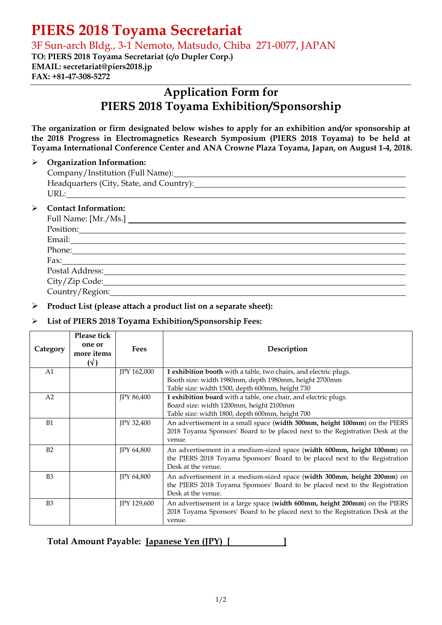# **PIERS 2018 Toyama Secretariat**

3F Sun-arch Bldg., 3-1 Nemoto, Matsudo, Chiba 271-0077, JAPAN

**TO: PIERS 2018 Toyama Secretariat (c/o Dupler Corp.) EMAIL: secretariat@piers2018.jp FAX: +81-47-308-5272** 

# **Application Form for PIERS 2018 Toyama Exhibition/Sponsorship**

**The organization or firm designated below wishes to apply for an exhibition and/or sponsorship at the 2018 Progress in Electromagnetics Research Symposium (PIERS 2018 Toyama) to be held at Toyama International Conference Center and ANA Crowne Plaza Toyama, Japan, on August 1-4, 2018.** 

## ¾ **Organization Information:**

|                  | Headquarters (City, State, and Country): Manual Assembly of the Manual Assembly of the Manual Assembly of the Manual Assembly of the Manual Assembly of the Manual Assembly of the Manual Assembly of the Manual Assembly of t |  |  |  |
|------------------|--------------------------------------------------------------------------------------------------------------------------------------------------------------------------------------------------------------------------------|--|--|--|
|                  |                                                                                                                                                                                                                                |  |  |  |
| $\triangleright$ | <b>Contact Information:</b>                                                                                                                                                                                                    |  |  |  |
|                  | Full Name: [Mr./Ms.]                                                                                                                                                                                                           |  |  |  |
|                  | Position:                                                                                                                                                                                                                      |  |  |  |
|                  |                                                                                                                                                                                                                                |  |  |  |
|                  | Phone:                                                                                                                                                                                                                         |  |  |  |
|                  | Fax: $\qquad \qquad$                                                                                                                                                                                                           |  |  |  |
|                  |                                                                                                                                                                                                                                |  |  |  |
|                  | City/Zip Code:                                                                                                                                                                                                                 |  |  |  |
|                  | Country/Region:                                                                                                                                                                                                                |  |  |  |

## ¾ **Product List (please attach a product list on a separate sheet):**

# ¾ **List of PIERS 2018 Toyama Exhibition/Sponsorship Fees:**

| Category       | Please tick<br>one or<br>more items<br>$(\vee)$ | Fees              | Description                                                                                                                                                                  |
|----------------|-------------------------------------------------|-------------------|------------------------------------------------------------------------------------------------------------------------------------------------------------------------------|
| A <sub>1</sub> |                                                 | JPY 162,000       | 1 exhibition booth with a table, two chairs, and electric plugs.                                                                                                             |
|                |                                                 |                   | Booth size: width 1980mm, depth 1980mm, height 2700mm                                                                                                                        |
|                |                                                 |                   | Table size: width 1500, depth 600mm, height 730                                                                                                                              |
| A2             |                                                 | <b>JPY 86,400</b> | 1 exhibition board with a table, one chair, and electric plugs.                                                                                                              |
|                |                                                 |                   | Board size: width 1200mm, height 2100mm                                                                                                                                      |
|                |                                                 |                   | Table size: width 1800, depth 600mm, height 700                                                                                                                              |
| B1             |                                                 | JPY 32,400        | An advertisement in a small space (width 300mm, height 100mm) on the PIERS<br>2018 Toyama Sponsors' Board to be placed next to the Registration Desk at the<br>venue.        |
| B2             |                                                 | <b>IPY 64,800</b> | An advertisement in a medium-sized space (width 600mm, height 100mm) on<br>the PIERS 2018 Toyama Sponsors' Board to be placed next to the Registration<br>Desk at the venue. |
| B <sub>3</sub> |                                                 | JPY 64,800        | An advertisement in a medium-sized space (width 300mm, height 200mm) on<br>the PIERS 2018 Toyama Sponsors' Board to be placed next to the Registration<br>Desk at the venue. |
| B <sub>3</sub> |                                                 | JPY 129,600       | An advertisement in a large space (width 600mm, height 200mm) on the PIERS<br>2018 Toyama Sponsors' Board to be placed next to the Registration Desk at the<br>venue.        |

**Total Amount Payable: Japanese Yen (JPY) [ ]**